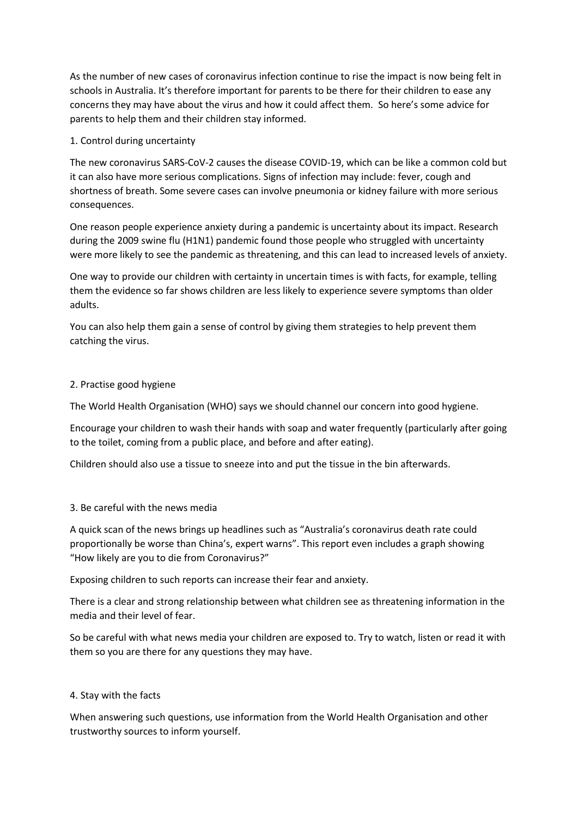As the number of new cases of coronavirus infection continue to rise the impact is now being felt in schools in Australia. It's therefore important for parents to be there for their children to ease any concerns they may have about the virus and how it could affect them. So here's some advice for parents to help them and their children stay informed.

## 1. Control during uncertainty

The new coronavirus SARS-CoV-2 causes the disease COVID-19, which can be like a common cold but it can also have more serious complications. Signs of infection may include: fever, cough and shortness of breath. Some severe cases can involve pneumonia or kidney failure with more serious consequences.

One reason people experience anxiety during a pandemic is uncertainty about its impact. Research during the 2009 swine flu (H1N1) pandemic found those people who struggled with uncertainty were more likely to see the pandemic as threatening, and this can lead to increased levels of anxiety.

One way to provide our children with certainty in uncertain times is with facts, for example, telling them the evidence so far shows children are less likely to experience severe symptoms than older adults.

You can also help them gain a sense of control by giving them strategies to help prevent them catching the virus.

# 2. Practise good hygiene

The World Health Organisation (WHO) says we should channel our concern into good hygiene.

Encourage your children to wash their hands with soap and water frequently (particularly after going to the toilet, coming from a public place, and before and after eating).

Children should also use a tissue to sneeze into and put the tissue in the bin afterwards.

## 3. Be careful with the news media

A quick scan of the news brings up headlines such as "Australia's coronavirus death rate could proportionally be worse than China's, expert warns". This report even includes a graph showing "How likely are you to die from Coronavirus?"

Exposing children to such reports can increase their fear and anxiety.

There is a clear and strong relationship between what children see as threatening information in the media and their level of fear.

So be careful with what news media your children are exposed to. Try to watch, listen or read it with them so you are there for any questions they may have.

## 4. Stay with the facts

When answering such questions, use information from the World Health Organisation and other trustworthy sources to inform yourself.